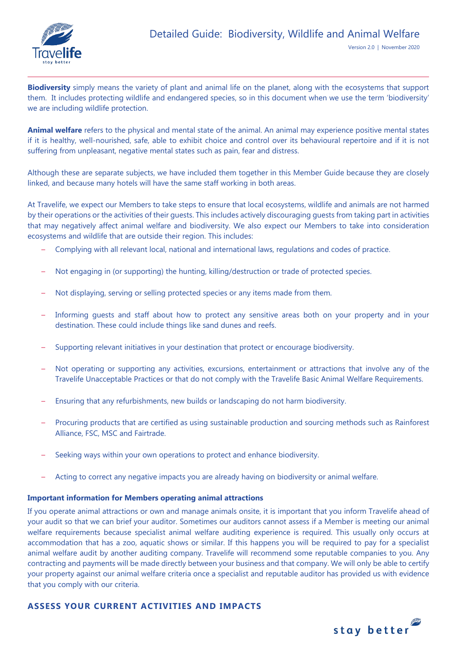

**Biodiversity** simply means the variety of plant and animal life on the planet, along with the ecosystems that support them. It includes protecting wildlife and endangered species, so in this document when we use the term 'biodiversity' we are including wildlife protection.

**Animal welfare** refers to the physical and mental state of the animal. An animal may experience positive mental states if it is healthy, well-nourished, safe, able to exhibit choice and control over its behavioural repertoire and if it is not suffering from unpleasant, negative mental states such as pain, fear and distress.

Although these are separate subjects, we have included them together in this Member Guide because they are closely linked, and because many hotels will have the same staff working in both areas.

At Travelife, we expect our Members to take steps to ensure that local ecosystems, wildlife and animals are not harmed by their operations or the activities of their guests. This includes actively discouraging guests from taking part in activities that may negatively affect animal welfare and biodiversity. We also expect our Members to take into consideration ecosystems and wildlife that are outside their region. This includes:

- Complying with all relevant local, national and international laws, regulations and codes of practice.
- Not engaging in (or supporting) the hunting, killing/destruction or trade of protected species.
- Not displaying, serving or selling protected species or any items made from them.
- Informing guests and staff about how to protect any sensitive areas both on your property and in your destination. These could include things like sand dunes and reefs.
- Supporting relevant initiatives in your destination that protect or encourage biodiversity.
- Not operating or supporting any activities, excursions, entertainment or attractions that involve any of the Travelife Unacceptable Practices or that do not comply with the Travelife Basic Animal Welfare Requirements.
- Ensuring that any refurbishments, new builds or landscaping do not harm biodiversity.
- Procuring products that are certified as using sustainable production and sourcing methods such as Rainforest Alliance, FSC, MSC and Fairtrade.
- Seeking ways within your own operations to protect and enhance biodiversity.
- Acting to correct any negative impacts you are already having on biodiversity or animal welfare.

### **Important information for Members operating animal attractions**

If you operate animal attractions or own and manage animals onsite, it is important that you inform Travelife ahead of your audit so that we can brief your auditor. Sometimes our auditors cannot assess if a Member is meeting our animal welfare requirements because specialist animal welfare auditing experience is required. This usually only occurs at accommodation that has a zoo, aquatic shows or similar. If this happens you will be required to pay for a specialist animal welfare audit by another auditing company. Travelife will recommend some reputable companies to you. Any contracting and payments will be made directly between your business and that company. We will only be able to certify your property against our animal welfare criteria once a specialist and reputable auditor has provided us with evidence that you comply with our criteria.

## **ASSESS YOUR CURRENT ACTIVITIES AND IMPACTS**

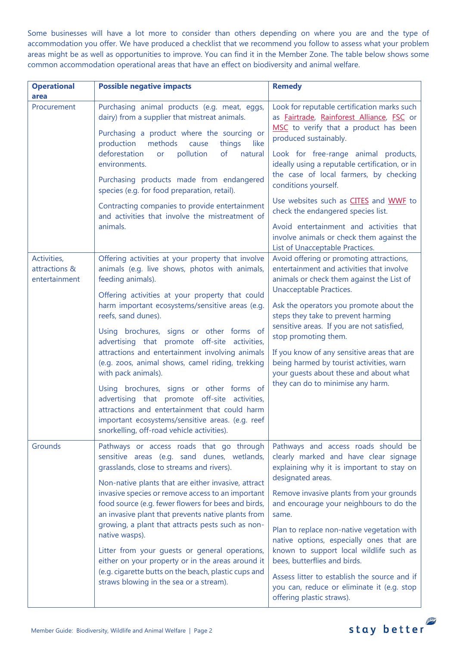Some businesses will have a lot more to consider than others depending on where you are and the type of accommodation you offer. We have produced a checklist that we recommend you follow to assess what your problem areas might be as well as opportunities to improve. You can find it in the Member Zone. The table below shows some common accommodation operational areas that have an effect on biodiversity and animal welfare.

| <b>Operational</b><br>area                    | <b>Possible negative impacts</b>                                                                                                                                                                                                                                                             | <b>Remedy</b>                                                                                                                                                                                                                                                                                                                            |
|-----------------------------------------------|----------------------------------------------------------------------------------------------------------------------------------------------------------------------------------------------------------------------------------------------------------------------------------------------|------------------------------------------------------------------------------------------------------------------------------------------------------------------------------------------------------------------------------------------------------------------------------------------------------------------------------------------|
| Procurement                                   | Purchasing animal products (e.g. meat, eggs,<br>dairy) from a supplier that mistreat animals.                                                                                                                                                                                                | Look for reputable certification marks such<br>as Fairtrade, Rainforest Alliance, FSC or<br>MSC to verify that a product has been<br>produced sustainably.                                                                                                                                                                               |
|                                               | Purchasing a product where the sourcing or<br>methods<br>production<br>things<br>cause<br>like<br>deforestation<br>pollution<br>of<br>natural<br>or<br>environments.                                                                                                                         |                                                                                                                                                                                                                                                                                                                                          |
|                                               |                                                                                                                                                                                                                                                                                              | Look for free-range animal products,<br>ideally using a reputable certification, or in                                                                                                                                                                                                                                                   |
|                                               | Purchasing products made from endangered<br>species (e.g. for food preparation, retail).                                                                                                                                                                                                     | the case of local farmers, by checking<br>conditions yourself.                                                                                                                                                                                                                                                                           |
|                                               | Contracting companies to provide entertainment<br>and activities that involve the mistreatment of<br>animals.                                                                                                                                                                                | Use websites such as CITES and WWF to<br>check the endangered species list.                                                                                                                                                                                                                                                              |
|                                               |                                                                                                                                                                                                                                                                                              | Avoid entertainment and activities that<br>involve animals or check them against the<br>List of Unacceptable Practices.                                                                                                                                                                                                                  |
| Activities,<br>attractions &<br>entertainment | Offering activities at your property that involve<br>animals (e.g. live shows, photos with animals,<br>feeding animals).                                                                                                                                                                     | Avoid offering or promoting attractions,<br>entertainment and activities that involve<br>animals or check them against the List of<br><b>Unacceptable Practices.</b><br>Ask the operators you promote about the<br>steps they take to prevent harming                                                                                    |
|                                               | Offering activities at your property that could<br>harm important ecosystems/sensitive areas (e.g.<br>reefs, sand dunes).                                                                                                                                                                    |                                                                                                                                                                                                                                                                                                                                          |
|                                               | Using brochures, signs or other forms of<br>advertising that promote off-site activities,<br>attractions and entertainment involving animals<br>(e.g. zoos, animal shows, camel riding, trekking<br>with pack animals).                                                                      | sensitive areas. If you are not satisfied,<br>stop promoting them.                                                                                                                                                                                                                                                                       |
|                                               |                                                                                                                                                                                                                                                                                              | If you know of any sensitive areas that are<br>being harmed by tourist activities, warn<br>your guests about these and about what<br>they can do to minimise any harm.                                                                                                                                                                   |
|                                               | Using brochures, signs or other forms of<br>advertising that promote off-site activities,<br>attractions and entertainment that could harm<br>important ecosystems/sensitive areas. (e.g. reef<br>snorkelling, off-road vehicle activities).                                                 |                                                                                                                                                                                                                                                                                                                                          |
| Grounds                                       | Pathways or access roads that go through<br>sensitive areas (e.g. sand dunes, wetlands,<br>grasslands, close to streams and rivers).                                                                                                                                                         | Pathways and access roads should be<br>clearly marked and have clear signage<br>explaining why it is important to stay on<br>designated areas.<br>Remove invasive plants from your grounds<br>and encourage your neighbours to do the<br>same.<br>Plan to replace non-native vegetation with<br>native options, especially ones that are |
|                                               | Non-native plants that are either invasive, attract<br>invasive species or remove access to an important<br>food source (e.g. fewer flowers for bees and birds,<br>an invasive plant that prevents native plants from<br>growing, a plant that attracts pests such as non-<br>native wasps). |                                                                                                                                                                                                                                                                                                                                          |
|                                               | Litter from your guests or general operations,<br>either on your property or in the areas around it<br>(e.g. cigarette butts on the beach, plastic cups and<br>straws blowing in the sea or a stream).                                                                                       | known to support local wildlife such as<br>bees, butterflies and birds.                                                                                                                                                                                                                                                                  |
|                                               |                                                                                                                                                                                                                                                                                              | Assess litter to establish the source and if<br>you can, reduce or eliminate it (e.g. stop<br>offering plastic straws).                                                                                                                                                                                                                  |

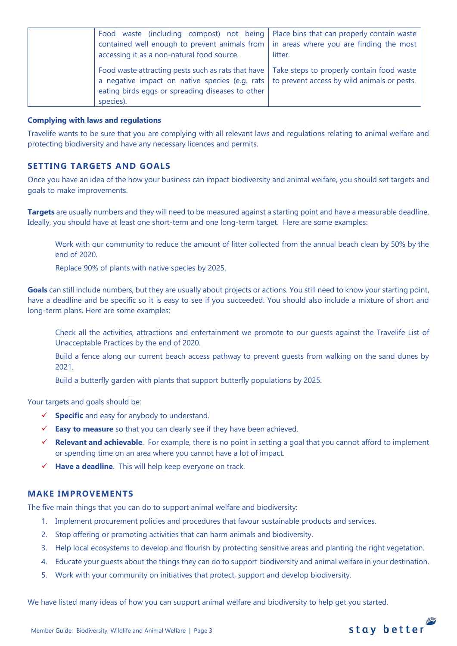| Food waste (including compost) not being   Place bins that can properly contain waste<br>contained well enough to prevent animals from $\vert$ in areas where you are finding the most<br>accessing it as a non-natural food source.                                  | litter. |
|-----------------------------------------------------------------------------------------------------------------------------------------------------------------------------------------------------------------------------------------------------------------------|---------|
| Food waste attracting pests such as rats that have   Take steps to properly contain food waste<br>a negative impact on native species (e.g. rats $\vert$ to prevent access by wild animals or pests.<br>eating birds eggs or spreading diseases to other<br>species). |         |

#### **Complying with laws and regulations**

Travelife wants to be sure that you are complying with all relevant laws and regulations relating to animal welfare and protecting biodiversity and have any necessary licences and permits.

## **SETTING TARGETS AND GOALS**

Once you have an idea of the how your business can impact biodiversity and animal welfare, you should set targets and goals to make improvements.

**Targets** are usually numbers and they will need to be measured against a starting point and have a measurable deadline. Ideally, you should have at least one short-term and one long-term target. Here are some examples:

Work with our community to reduce the amount of litter collected from the annual beach clean by 50% by the end of 2020.

Replace 90% of plants with native species by 2025.

**Goals** can still include numbers, but they are usually about projects or actions. You still need to know your starting point, have a deadline and be specific so it is easy to see if you succeeded. You should also include a mixture of short and long-term plans. Here are some examples:

Check all the activities, attractions and entertainment we promote to our guests against the Travelife List of Unacceptable Practices by the end of 2020.

Build a fence along our current beach access pathway to prevent guests from walking on the sand dunes by 2021.

Build a butterfly garden with plants that support butterfly populations by 2025.

Your targets and goals should be:

- ✓ **Specific** and easy for anybody to understand.
- ✓ **Easy to measure** so that you can clearly see if they have been achieved.
- ✓ **Relevant and achievable**. For example, there is no point in setting a goal that you cannot afford to implement or spending time on an area where you cannot have a lot of impact.
- ✓ **Have a deadline**. This will help keep everyone on track.

## **MAKE IMPROVEMENTS**

The five main things that you can do to support animal welfare and biodiversity:

- 1. Implement procurement policies and procedures that favour sustainable products and services.
- 2. Stop offering or promoting activities that can harm animals and biodiversity.
- 3. Help local ecosystems to develop and flourish by protecting sensitive areas and planting the right vegetation.
- 4. Educate your guests about the things they can do to support biodiversity and animal welfare in your destination.
- 5. Work with your community on initiatives that protect, support and develop biodiversity.

We have listed many ideas of how you can support animal welfare and biodiversity to help get you started.

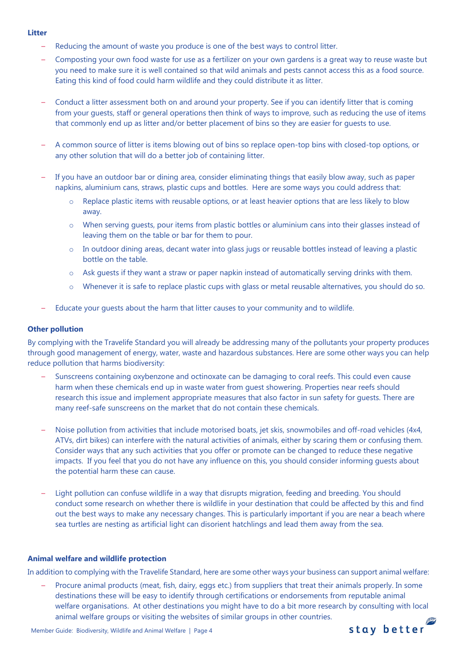#### **Litter**

- Reducing the amount of waste you produce is one of the best ways to control litter.
- Composting your own food waste for use as a fertilizer on your own gardens is a great way to reuse waste but you need to make sure it is well contained so that wild animals and pests cannot access this as a food source. Eating this kind of food could harm wildlife and they could distribute it as litter.
- Conduct a litter assessment both on and around your property. See if you can identify litter that is coming from your guests, staff or general operations then think of ways to improve, such as reducing the use of items that commonly end up as litter and/or better placement of bins so they are easier for guests to use.
- A common source of litter is items blowing out of bins so replace open-top bins with closed-top options, or any other solution that will do a better job of containing litter.
- If you have an outdoor bar or dining area, consider eliminating things that easily blow away, such as paper napkins, aluminium cans, straws, plastic cups and bottles. Here are some ways you could address that:
	- o Replace plastic items with reusable options, or at least heavier options that are less likely to blow away.
	- o When serving guests, pour items from plastic bottles or aluminium cans into their glasses instead of leaving them on the table or bar for them to pour.
	- o In outdoor dining areas, decant water into glass jugs or reusable bottles instead of leaving a plastic bottle on the table.
	- $\circ$  Ask guests if they want a straw or paper napkin instead of automatically serving drinks with them.
	- o Whenever it is safe to replace plastic cups with glass or metal reusable alternatives, you should do so.
- Educate your guests about the harm that litter causes to your community and to wildlife.

### **Other pollution**

By complying with the Travelife Standard you will already be addressing many of the pollutants your property produces through good management of energy, water, waste and hazardous substances. Here are some other ways you can help reduce pollution that harms biodiversity:

- Sunscreens containing oxybenzone and octinoxate can be damaging to coral reefs. This could even cause harm when these chemicals end up in waste water from guest showering. Properties near reefs should research this issue and implement appropriate measures that also factor in sun safety for guests. There are many reef-safe sunscreens on the market that do not contain these chemicals.
- Noise pollution from activities that include motorised boats, jet skis, snowmobiles and off-road vehicles (4x4, ATVs, dirt bikes) can interfere with the natural activities of animals, either by scaring them or confusing them. Consider ways that any such activities that you offer or promote can be changed to reduce these negative impacts. If you feel that you do not have any influence on this, you should consider informing guests about the potential harm these can cause.
- Light pollution can confuse wildlife in a way that disrupts migration, feeding and breeding. You should conduct some research on whether there is wildlife in your destination that could be affected by this and find out the best ways to make any necessary changes. This is particularly important if you are near a beach where sea turtles are nesting as artificial light can disorient hatchlings and lead them away from the sea.

### **Animal welfare and wildlife protection**

In addition to complying with the Travelife Standard, here are some other ways your business can support animal welfare:

– Procure animal products (meat, fish, dairy, eggs etc.) from suppliers that treat their animals properly. In some destinations these will be easy to identify through certifications or endorsements from reputable animal welfare organisations. At other destinations you might have to do a bit more research by consulting with local animal welfare groups or visiting the websites of similar groups in other countries.

stay better

Member Guide: Biodiversity, Wildlife and Animal Welfare | Page 4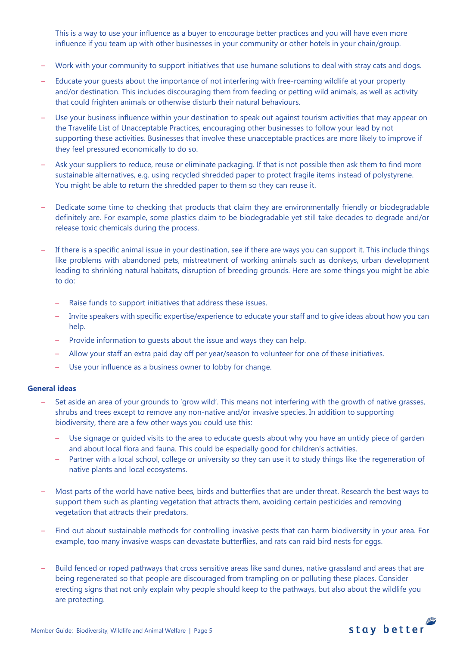This is a way to use your influence as a buyer to encourage better practices and you will have even more influence if you team up with other businesses in your community or other hotels in your chain/group.

- Work with your community to support initiatives that use humane solutions to deal with stray cats and dogs.
- Educate your guests about the importance of not interfering with free-roaming wildlife at your property and/or destination. This includes discouraging them from feeding or petting wild animals, as well as activity that could frighten animals or otherwise disturb their natural behaviours.
- Use your business influence within your destination to speak out against tourism activities that may appear on the Travelife List of Unacceptable Practices, encouraging other businesses to follow your lead by not supporting these activities. Businesses that involve these unacceptable practices are more likely to improve if they feel pressured economically to do so.
- Ask your suppliers to reduce, reuse or eliminate packaging. If that is not possible then ask them to find more sustainable alternatives, e.g. using recycled shredded paper to protect fragile items instead of polystyrene. You might be able to return the shredded paper to them so they can reuse it.
- Dedicate some time to checking that products that claim they are environmentally friendly or biodegradable definitely are. For example, some plastics claim to be biodegradable yet still take decades to degrade and/or release toxic chemicals during the process.
- If there is a specific animal issue in your destination, see if there are ways you can support it. This include things like problems with abandoned pets, mistreatment of working animals such as donkeys, urban development leading to shrinking natural habitats, disruption of breeding grounds. Here are some things you might be able to do:
	- Raise funds to support initiatives that address these issues.
	- Invite speakers with specific expertise/experience to educate your staff and to give ideas about how you can help.
	- Provide information to guests about the issue and ways they can help.
	- Allow your staff an extra paid day off per year/season to volunteer for one of these initiatives.
	- Use your influence as a business owner to lobby for change.

#### **General ideas**

- Set aside an area of your grounds to 'grow wild'. This means not interfering with the growth of native grasses, shrubs and trees except to remove any non-native and/or invasive species. In addition to supporting biodiversity, there are a few other ways you could use this:
	- Use signage or guided visits to the area to educate guests about why you have an untidy piece of garden and about local flora and fauna. This could be especially good for children's activities.
	- Partner with a local school, college or university so they can use it to study things like the regeneration of native plants and local ecosystems.
- Most parts of the world have native bees, birds and butterflies that are under threat. Research the best ways to support them such as planting vegetation that attracts them, avoiding certain pesticides and removing vegetation that attracts their predators.
- Find out about sustainable methods for controlling invasive pests that can harm biodiversity in your area. For example, too many invasive wasps can devastate butterflies, and rats can raid bird nests for eggs.
- Build fenced or roped pathways that cross sensitive areas like sand dunes, native grassland and areas that are being regenerated so that people are discouraged from trampling on or polluting these places. Consider erecting signs that not only explain why people should keep to the pathways, but also about the wildlife you are protecting.